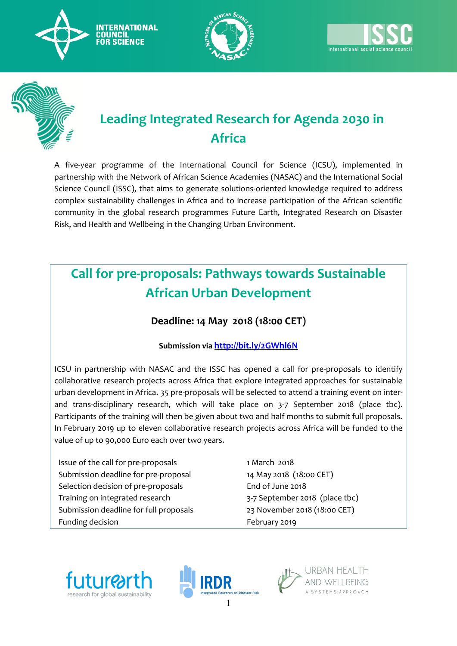





# **Leading Integrated Research for Agenda 2030 in Africa**

A five-year programme of the International Council for Science (ICSU), implemented in partnership with the Network of African Science Academies (NASAC) and the International Social Science Council (ISSC), that aims to generate solutions-oriented knowledge required to address complex sustainability challenges in Africa and to increase participation of the African scientific community in the global research programmes Future Earth, Integrated Research on Disaster Risk, and Health and Wellbeing in the Changing Urban Environment.

# **Call for pre-proposals: Pathways towards Sustainable African Urban Development**

# **Deadline: 14 May 2018 (18:00 CET)**

## **Submission via <http://bit.ly/2GWhl6N>**

ICSU in partnership with NASAC and the ISSC has opened a call for pre-proposals to identify collaborative research projects across Africa that explore integrated approaches for sustainable urban development in Africa. 35 pre-proposals will be selected to attend a training event on interand trans-disciplinary research, which will take place on 3-7 September 2018 (place tbc). Participants of the training will then be given about two and half months to submit full proposals. In February 2019 up to eleven collaborative research projects across Africa will be funded to the value of up to 90,000 Euro each over two years.

Issue of the call for pre-proposals 1 March 2018 Submission deadline for pre-proposal 14 May 2018 (18:00 CET) Selection decision of pre-proposals End of June 2018 Training on integrated research 3-7 September 2018 (place tbc) Submission deadline for full proposals 23 November 2018 (18:00 CET) Funding decision **Funding decision** February 2019





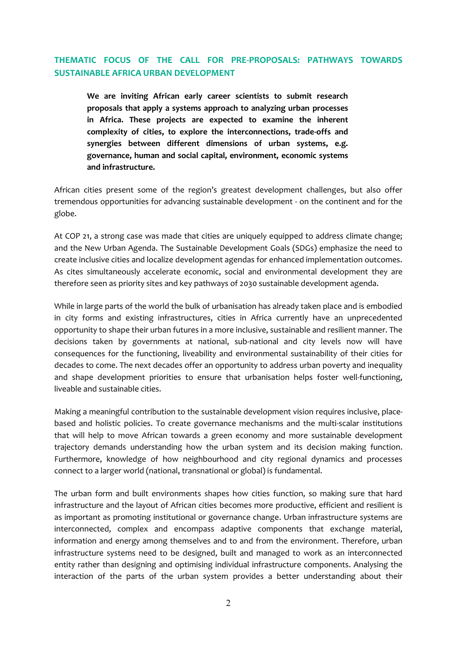### **THEMATIC FOCUS OF THE CALL FOR PRE-PROPOSALS: PATHWAYS TOWARDS SUSTAINABLE AFRICA URBAN DEVELOPMENT**

**We are inviting African early career scientists to submit research proposals that apply a systems approach to analyzing urban processes in Africa. These projects are expected to examine the inherent complexity of cities, to explore the interconnections, trade-offs and synergies between different dimensions of urban systems, e.g. governance, human and social capital, environment, economic systems and infrastructure.** 

African cities present some of the region's greatest development challenges, but also offer tremendous opportunities for advancing sustainable development - on the continent and for the globe.

At COP 21, a strong case was made that cities are uniquely equipped to address climate change; and the New Urban Agenda. The Sustainable Development Goals (SDGs) emphasize the need to create inclusive cities and localize development agendas for enhanced implementation outcomes. As cites simultaneously accelerate economic, social and environmental development they are therefore seen as priority sites and key pathways of 2030 sustainable development agenda.

While in large parts of the world the bulk of urbanisation has already taken place and is embodied in city forms and existing infrastructures, cities in Africa currently have an unprecedented opportunity to shape their urban futures in a more inclusive, sustainable and resilient manner. The decisions taken by governments at national, sub-national and city levels now will have consequences for the functioning, liveability and environmental sustainability of their cities for decades to come. The next decades offer an opportunity to address urban poverty and inequality and shape development priorities to ensure that urbanisation helps foster well-functioning, liveable and sustainable cities.

Making a meaningful contribution to the sustainable development vision requires inclusive, placebased and holistic policies. To create governance mechanisms and the multi-scalar institutions that will help to move African towards a green economy and more sustainable development trajectory demands understanding how the urban system and its decision making function. Furthermore, knowledge of how neighbourhood and city regional dynamics and processes connect to a larger world (national, transnational or global) is fundamental.

The urban form and built environments shapes how cities function, so making sure that hard infrastructure and the layout of African cities becomes more productive, efficient and resilient is as important as promoting institutional or governance change. Urban infrastructure systems are interconnected, complex and encompass adaptive components that exchange material, information and energy among themselves and to and from the environment. Therefore, urban infrastructure systems need to be designed, built and managed to work as an interconnected entity rather than designing and optimising individual infrastructure components. Analysing the interaction of the parts of the urban system provides a better understanding about their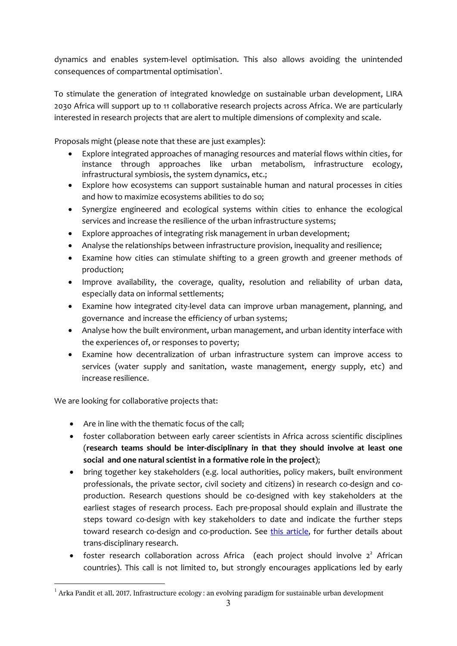dynamics and enables system-level optimisation. This also allows avoiding the unintended consequences of compartmental optimisation<sup>1</sup>.

To stimulate the generation of integrated knowledge on sustainable urban development, LIRA 2030 Africa will support up to 11 collaborative research projects across Africa. We are particularly interested in research projects that are alert to multiple dimensions of complexity and scale.

Proposals might (please note that these are just examples):

- Explore integrated approaches of managing resources and material flows within cities, for instance through approaches like urban metabolism, infrastructure ecology, infrastructural symbiosis, the system dynamics, etc.;
- Explore how ecosystems can support sustainable human and natural processes in cities and how to maximize ecosystems abilities to do so;
- Synergize engineered and ecological systems within cities to enhance the ecological services and increase the resilience of the urban infrastructure systems;
- Explore approaches of integrating risk management in urban development;
- Analyse the relationships between infrastructure provision, inequality and resilience;
- Examine how cities can stimulate shifting to a green growth and greener methods of production;
- Improve availability, the coverage, quality, resolution and reliability of urban data, especially data on informal settlements;
- Examine how integrated city-level data can improve urban management, planning, and governance and increase the efficiency of urban systems;
- Analyse how the built environment, urban management, and urban identity interface with the experiences of, or responses to poverty;
- Examine how decentralization of urban infrastructure system can improve access to services (water supply and sanitation, waste management, energy supply, etc) and increase resilience.

We are looking for collaborative projects that:

1

- Are in line with the thematic focus of the call;
- foster collaboration between early career scientists in Africa across scientific disciplines (**research teams should be inter-disciplinary in that they should involve at least one social and one natural scientist in a formative role in the project**);
- bring together key stakeholders (e.g. local authorities, policy makers, built environment professionals, the private sector, civil society and citizens) in research co-design and coproduction. Research questions should be co-designed with key stakeholders at the earliest stages of research process. Each pre-proposal should explain and illustrate the steps toward co-design with key stakeholders to date and indicate the further steps toward research co-design and co-production. See [this article,](https://www.icsu.org/cms/2018/03/LANG-ET-AL-2012-Transdisciplinary-research-in-sustainability-science.pdf) for further details about trans-disciplinary research.
- foster research collaboration across Africa (each project should involve  $2^2$  African countries). This call is not limited to, but strongly encourages applications led by early

 $^1$  Arka Pandit et all, 2017, Infrastructure ecology : an evolving paradigm for sustainable urban development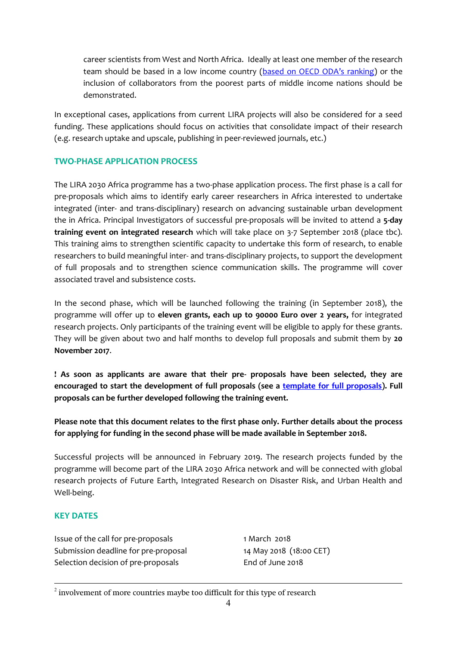career scientists from West and North Africa. Ideally at least one member of the research team should be based in a low income country ([based on OECD ODA's ranking](http://www.oecd.org/dac/stats/documentupload/DAC%20List%20of%20ODA%20Recipients%202014%20final.pdf)) or the inclusion of collaborators from the poorest parts of middle income nations should be demonstrated.

In exceptional cases, applications from current LIRA projects will also be considered for a seed funding. These applications should focus on activities that consolidate impact of their research (e.g. research uptake and upscale, publishing in peer-reviewed journals, etc.)

### **TWO-PHASE APPLICATION PROCESS**

The LIRA 2030 Africa programme has a two-phase application process. The first phase is a call for pre-proposals which aims to identify early career researchers in Africa interested to undertake integrated (inter- and trans-disciplinary) research on advancing sustainable urban development the in Africa. Principal Investigators of successful pre-proposals will be invited to attend a **5-day training event on integrated research** which will take place on 3-7 September 2018 (place tbc). This training aims to strengthen scientific capacity to undertake this form of research, to enable researchers to build meaningful inter- and trans-disciplinary projects, to support the development of full proposals and to strengthen science communication skills. The programme will cover associated travel and subsistence costs.

In the second phase, which will be launched following the training (in September 2018), the programme will offer up to **eleven grants, each up to 90000 Euro over 2 years,** for integrated research projects. Only participants of the training event will be eligible to apply for these grants. They will be given about two and half months to develop full proposals and submit them by **20 November 2017**.

**! As soon as applicants are aware that their pre- proposals have been selected, they are encouraged to start the development of full proposals (see a [template for full proposals\)](https://www.icsu.org/cms/2018/03/Full-proposal-application-form.docx). Full proposals can be further developed following the training event.**

**Please note that this document relates to the first phase only. Further details about the process for applying for funding in the second phase will be made available in September 2018.**

Successful projects will be announced in February 2019. The research projects funded by the programme will become part of the LIRA 2030 Africa network and will be connected with global research projects of Future Earth, Integrated Research on Disaster Risk, and Urban Health and Well-being.

### **KEY DATES**

 $\overline{a}$ 

Issue of the call for pre-proposals 1 March 2018 Submission deadline for pre-proposal 14 May 2018 (18:00 CET) Selection decision of pre-proposals End of June 2018

 $2$  involvement of more countries maybe too difficult for this type of research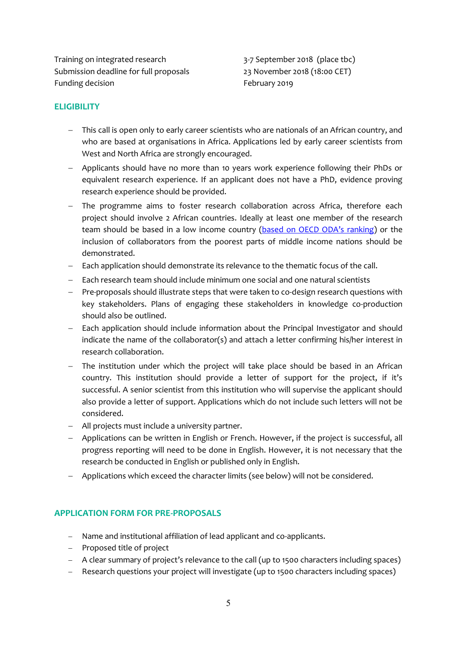Training on integrated research 3-7 September 2018 (place tbc) Submission deadline for full proposals 23 November 2018 (18:00 CET) Funding decision **Funding decision February 2019** 

#### **ELIGIBILITY**

- This call is open only to early career scientists who are nationals of an African country, and who are based at organisations in Africa. Applications led by early career scientists from West and North Africa are strongly encouraged.
- Applicants should have no more than 10 years work experience following their PhDs or equivalent research experience. If an applicant does not have a PhD, evidence proving research experience should be provided.
- The programme aims to foster research collaboration across Africa, therefore each project should involve 2 African countries. Ideally at least one member of the research team should be based in a low income country ([based on OECD ODA's ranking](http://www.oecd.org/dac/stats/documentupload/DAC%20List%20of%20ODA%20Recipients%202014%20final.pdf)) or the inclusion of collaborators from the poorest parts of middle income nations should be demonstrated.
- Each application should demonstrate its relevance to the thematic focus of the call.
- $\overline{a}$  Each research team should include minimum one social and one natural scientists
- Pre-proposals should illustrate steps that were taken to co-design research questions with key stakeholders. Plans of engaging these stakeholders in knowledge co-production should also be outlined.
- Each application should include information about the Principal Investigator and should indicate the name of the collaborator(s) and attach a letter confirming his/her interest in research collaboration.
- The institution under which the project will take place should be based in an African country. This institution should provide a letter of support for the project, if it's successful. A senior scientist from this institution who will supervise the applicant should also provide a letter of support. Applications which do not include such letters will not be considered.
- All projects must include a university partner.
- Applications can be written in English or French. However, if the project is successful, all progress reporting will need to be done in English. However, it is not necessary that the research be conducted in English or published only in English.
- Applications which exceed the character limits (see below) will not be considered.

### **APPLICATION FORM FOR PRE-PROPOSALS**

- Name and institutional affiliation of lead applicant and co-applicants.
- Proposed title of project
- A clear summary of project's relevance to the call (up to 1500 characters including spaces)
- Research questions your project will investigate (up to 1500 characters including spaces)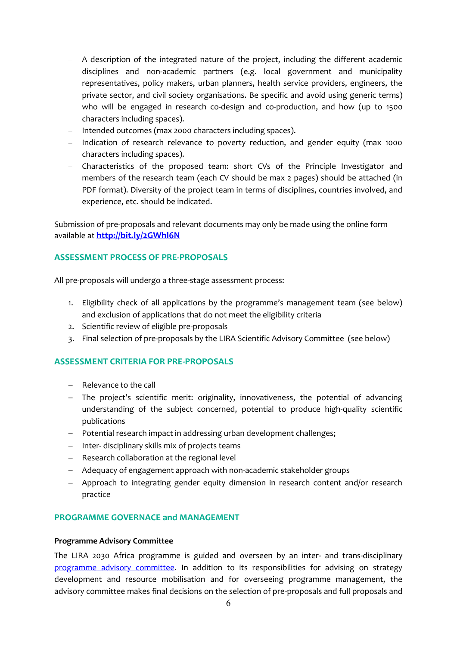- A description of the integrated nature of the project, including the different academic disciplines and non-academic partners (e.g. local government and municipality representatives, policy makers, urban planners, health service providers, engineers, the private sector, and civil society organisations. Be specific and avoid using generic terms) who will be engaged in research co-design and co-production, and how (up to 1500 characters including spaces).
- Intended outcomes (max 2000 characters including spaces).
- Indication of research relevance to poverty reduction, and gender equity (max 1000 characters including spaces).
- Characteristics of the proposed team: short CVs of the Principle Investigator and members of the research team (each CV should be max 2 pages) should be attached (in PDF format). Diversity of the project team in terms of disciplines, countries involved, and experience, etc. should be indicated.

Submission of pre-proposals and relevant documents may only be made using the online form available at **<http://bit.ly/2GWhl6N>**

#### **ASSESSMENT PROCESS OF PRE-PROPOSALS**

All pre-proposals will undergo a three-stage assessment process:

- 1. Eligibility check of all applications by the programme's management team (see below) and exclusion of applications that do not meet the eligibility criteria
- 2. Scientific review of eligible pre-proposals
- 3. Final selection of pre-proposals by the LIRA Scientific Advisory Committee (see below)

### **ASSESSMENT CRITERIA FOR PRE-PROPOSALS**

- Relevance to the call
- The project's scientific merit: originality, innovativeness, the potential of advancing understanding of the subject concerned, potential to produce high-quality scientific publications
- Potential research impact in addressing urban development challenges;
- $-$  Inter-disciplinary skills mix of projects teams
- Research collaboration at the regional level
- Adequacy of engagement approach with non-academic stakeholder groups
- Approach to integrating gender equity dimension in research content and/or research practice

#### **PROGRAMME GOVERNACE and MANAGEMENT**

#### **Programme Advisory Committee**

The LIRA 2030 Africa programme is guided and overseen by an inter- and trans-disciplinary [programme advisory committee.](http://www.icsu.org/what-we-do/projects-activities/leading-integrated-research-for-agenda-2030-in-africa/?icsudocid=governance-and-management) In addition to its responsibilities for advising on strategy development and resource mobilisation and for overseeing programme management, the advisory committee makes final decisions on the selection of pre-proposals and full proposals and